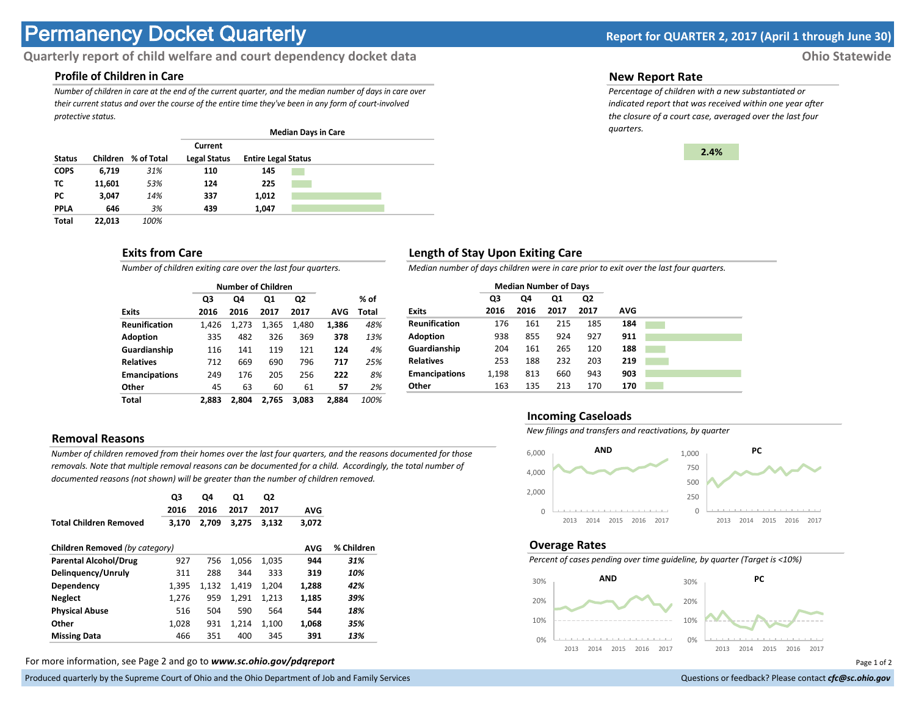# **Permanency Docket Quarterly Report for QUARTER 2, 2017 (April 1 through June 30)**

# **Quarterly report of child welfare and court dependency docket data Ohio Statewide**

# **Profile of Children in Care**

*Number of children in care at the end of the current quarter, and the median number of days in care over their current status and over the course of the entire time they've been in any form of court-involved protective status.*

|               |          |            |                                |                            | <b>Median Days in Care</b> |  |
|---------------|----------|------------|--------------------------------|----------------------------|----------------------------|--|
| <b>Status</b> | Children | % of Total | Current<br><b>Legal Status</b> | <b>Entire Legal Status</b> |                            |  |
| <b>COPS</b>   | 6,719    | 31%        | 110                            | 145                        |                            |  |
| тс            | 11.601   | 53%        | 124                            | 225                        |                            |  |
| PC.           | 3.047    | 14%        | 337                            | 1,012                      |                            |  |
| <b>PPLA</b>   | 646      | 3%         | 439                            | 1.047                      |                            |  |
| <b>Total</b>  | 22.013   | 100%       |                                |                            |                            |  |

## **Exits from Care**

*Number of children exiting care over the last four quarters.*

|                      |       |       | <b>Number of Children</b> |       |       |       |
|----------------------|-------|-------|---------------------------|-------|-------|-------|
|                      | Q3    | Q4    | Q1                        | Q2    |       | % of  |
| <b>Exits</b>         | 2016  | 2016  | 2017                      | 2017  | AVG   | Total |
| <b>Reunification</b> | 1.426 | 1.273 | 1,365                     | 1,480 | 1,386 | 48%   |
| <b>Adoption</b>      | 335   | 482   | 326                       | 369   | 378   | 13%   |
| Guardianship         | 116   | 141   | 119                       | 121   | 124   | 4%    |
| <b>Relatives</b>     | 712   | 669   | 690                       | 796   | 717   | 25%   |
| <b>Emancipations</b> | 249   | 176   | 205                       | 256   | 222   | 8%    |
| Other                | 45    | 63    | 60                        | 61    | 57    | 2%    |
| Total                | 2.883 | 2.804 | 2.765                     | 3.083 | 2.884 | 100%  |

# **Removal Reasons**

*Number of children removed from their homes over the last four quarters, and the reasons documented for those removals. Note that multiple removal reasons can be documented for a child. Accordingly, the total number of documented reasons (not shown) will be greater than the number of children removed.* 

|                                | Q3<br>2016 | Q4<br>2016 | Q1<br>2017 | Q <sub>2</sub><br>2017 | <b>AVG</b> |            |
|--------------------------------|------------|------------|------------|------------------------|------------|------------|
| <b>Total Children Removed</b>  | 3.170      | 2,709      | 3,275      | 3,132                  | 3,072      |            |
| Children Removed (by category) |            |            |            |                        | <b>AVG</b> | % Children |
| <b>Parental Alcohol/Drug</b>   | 927        | 756        | 1,056      | 1,035                  | 944        | 31%        |
| Delinguency/Unruly             | 311        | 288        | 344        | 333                    | 319        | 10%        |
| Dependency                     | 1.395      | 1.132      | 1.419      | 1.204                  | 1.288      | 42%        |
| <b>Neglect</b>                 | 1.276      | 959        | 1.291      | 1,213                  | 1.185      | 39%        |
| <b>Physical Abuse</b>          | 516        | 504        | 590        | 564                    | 544        | 18%        |
| Other                          | 1,028      | 931        | 1,214      | 1,100                  | 1,068      | 35%        |
| <b>Missing Data</b>            | 466        | 351        | 400        | 345                    | 391        | 13%        |

For more information, see Page 2 and go to *www.sc.ohio.gov/pdqreport* Page 1 of 2

Produced quarterly by the Supreme Court of Ohio and the Ohio Department of Job and Family Services **Department** of *Services* Court of Ohio and the Ohio Department of Job and Family Services **Communist Court of Court of Co** 

#### **New Report Rate**

*Percentage of children with a new substantiated or indicated report that was received within one year after the closure of a court case, averaged over the last four quarters.*



## **Length of Stay Upon Exiting Care**

*Median number of days children were in care prior to exit over the last four quarters.*

|                      | <b>Median Number of Days</b> |      |      |                |            |  |
|----------------------|------------------------------|------|------|----------------|------------|--|
|                      | Q3                           | Q4   | Q1   | Q <sub>2</sub> |            |  |
| <b>Exits</b>         | 2016                         | 2016 | 2017 | 2017           | <b>AVG</b> |  |
| <b>Reunification</b> | 176                          | 161  | 215  | 185            | 184        |  |
| <b>Adoption</b>      | 938                          | 855  | 924  | 927            | 911        |  |
| Guardianship         | 204                          | 161  | 265  | 120            | 188        |  |
| <b>Relatives</b>     | 253                          | 188  | 232  | 203            | 219        |  |
| <b>Emancipations</b> | 1,198                        | 813  | 660  | 943            | 903        |  |
| Other                | 163                          | 135  | 213  | 170            | 170        |  |

#### **Incoming Caseloads**

*New filings and transfers and reactivations, by quarter*



#### **Overage Rates**

*Percent of cases pending over time guideline, by quarter (Target is <10%)*